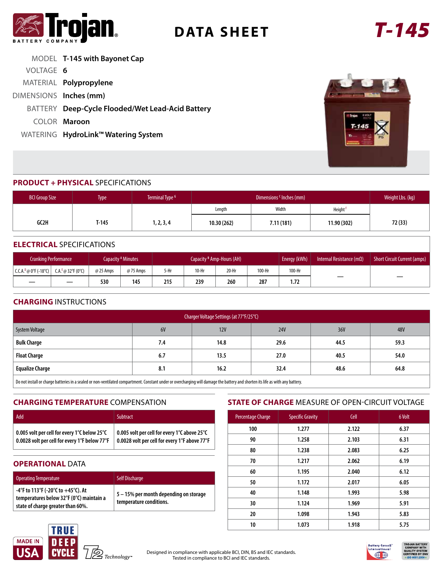

# **DATA SHEET** *T-145*

|                        | MODEL T-145 with Bayonet Cap                     |
|------------------------|--------------------------------------------------|
| VOLTAGE 6              |                                                  |
|                        | MATERIAL Polypropylene                           |
| DIMENSIONS Inches (mm) |                                                  |
|                        | BATTERY Deep-Cycle Flooded/Wet Lead-Acid Battery |
|                        | COLOR Maroon                                     |
|                        | WATERING HydroLink™ Watering System              |



#### **PRODUCT + PHYSICAL** SPECIFICATIONS

| <b>BCI Group Size</b> | <b>Type</b> | Terminal Type <sup>G</sup> |            | Weight Lbs. (kg) |                     |         |
|-----------------------|-------------|----------------------------|------------|------------------|---------------------|---------|
|                       |             |                            | Length     | Width            | Height <sup>F</sup> |         |
| GC2H                  | T-145       | 1, 2, 3, 4                 | 10.30(262) | 7.11(181)        | 11.90 (302)         | 72 (33) |

#### **ELECTRICAL** SPECIFICATIONS

|                                                | <b>Cranking Performance</b> |           | Capacity <sup>A</sup> Minutes | Capacity <sup>B</sup> Amp-Hours (AH) |       |       |        | Energy (kWh) | Internal Resistance (m $\Omega$ ) | Short Circuit Current (amps) |
|------------------------------------------------|-----------------------------|-----------|-------------------------------|--------------------------------------|-------|-------|--------|--------------|-----------------------------------|------------------------------|
| $  C.C.A.D @ 0°F (-18°C)   C.A.E @ 32°F (0°C)$ |                             | @ 25 Amps | @ 75 Amps                     | 5-Hr                                 | 10-Hr | 20-Hr | 100-Hr | 100-Hr       |                                   |                              |
|                                                |                             | 530       | 145                           | 215                                  | 239   | 260   | 287    | 1.72         |                                   |                              |

#### **CHARGING** INSTRUCTIONS

| Charger Voltage Settings (at 77°F/25°C)                                                                                                                                              |     |      |            |      |      |  |
|--------------------------------------------------------------------------------------------------------------------------------------------------------------------------------------|-----|------|------------|------|------|--|
| System Voltage                                                                                                                                                                       | 6V  | 12V  | <b>24V</b> | 36V  | 48V  |  |
| <b>Bulk Charge</b>                                                                                                                                                                   | 7.4 | 14.8 | 29.6       | 44.5 | 59.3 |  |
| <b>Float Charge</b>                                                                                                                                                                  | 6.7 | 13.5 | 27.0       | 40.5 | 54.0 |  |
| <b>Equalize Charge</b>                                                                                                                                                               | 8.1 | 16.2 | 32.4       | 48.6 | 64.8 |  |
| $\Box$ De not install as sharen batteries in a scaled ex non-ventilated compastment. Constant under or overhapping will damage the battery and sherten its life as with any battery. |     |      |            |      |      |  |

Do not install or charge batteries in a sealed or non-ventilated compartment. Constant under or overcharging will damage the battery and shorten its life as with any battery.

#### **CHARGING TEMPERATURE** COMPENSATION

| Add                                           | <b>Subtract</b>                               |
|-----------------------------------------------|-----------------------------------------------|
| 0.005 volt per cell for every 1°C below 25°C  | 0.005 volt per cell for every 1°C above 25°C  |
| 0.0028 volt per cell for every 1°F below 77°F | 0.0028 volt per cell for every 1°F above 77°F |

#### **OPERATIONAL DATA**

| <b>Operating Temperature</b>                                                                                        | <b>Self Discharge</b>                                             |
|---------------------------------------------------------------------------------------------------------------------|-------------------------------------------------------------------|
| -4°F to 113°F (-20°C to +45°C). At<br>temperatures below 32°F (0°C) maintain a<br>state of charge greater than 60%. | 5 – 15% per month depending on storage<br>temperature conditions. |

#### **STATE OF CHARGE** MEASURE OF OPEN-CIRCUIT VOLTAGE

| Percentage Charge | <b>Specific Gravity</b> | Cell  | 6 Volt |
|-------------------|-------------------------|-------|--------|
| 100               | 1.277                   | 2.122 | 6.37   |
| 90                | 1.258                   | 2.103 | 6.31   |
| 80                | 1.238                   | 2.083 | 6.25   |
| 70                | 1.217                   | 2.062 | 6.19   |
| 60                | 1.195                   | 2.040 | 6.12   |
| 50                | 1.172                   | 2.017 | 6.05   |
| 40                | 1.148                   | 1.993 | 5.98   |
| 30                | 1.124                   | 1.969 | 5.91   |
| 20                | 1.098                   | 1.943 | 5.83   |
| 10                | 1.073                   | 1.918 | 5.75   |